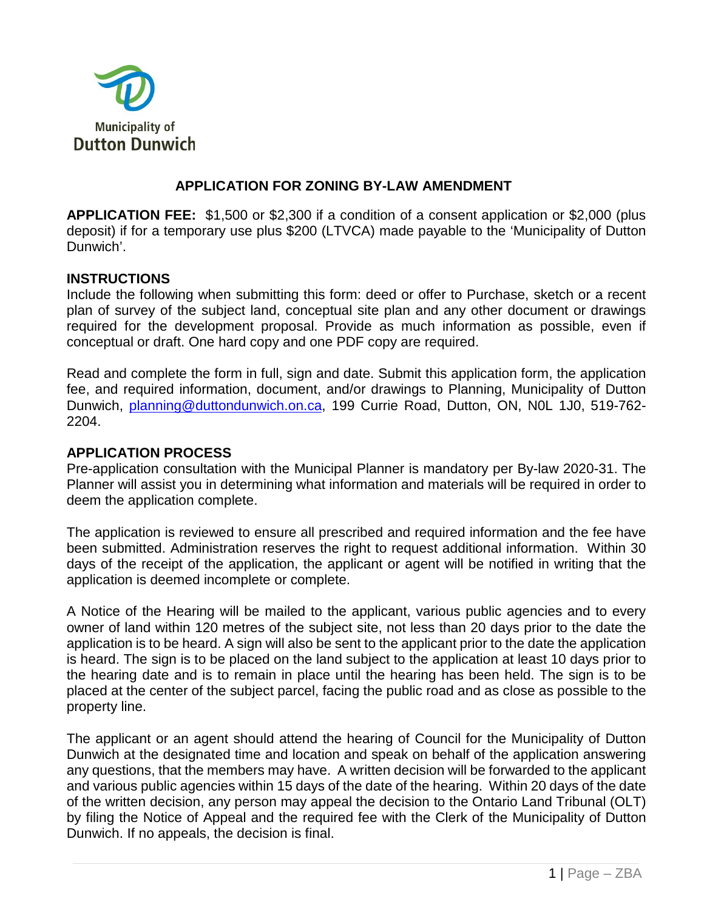

### **APPLICATION FOR ZONING BY-LAW AMENDMENT**

**APPLICATION FEE:** \$1,500 or \$2,300 if a condition of a consent application or \$2,000 (plus deposit) if for a temporary use plus \$200 (LTVCA) made payable to the 'Municipality of Dutton Dunwich'.

#### **INSTRUCTIONS**

Include the following when submitting this form: deed or offer to Purchase, sketch or a recent plan of survey of the subject land, conceptual site plan and any other document or drawings required for the development proposal. Provide as much information as possible, even if conceptual or draft. One hard copy and one PDF copy are required.

Read and complete the form in full, sign and date. Submit this application form, the application fee, and required information, document, and/or drawings to Planning, Municipality of Dutton Dunwich, [planning@duttondunwich.on.ca,](mailto:planning@duttondunwich.on.ca) 199 Currie Road, Dutton, ON, N0L 1J0, 519-762- 2204.

#### **APPLICATION PROCESS**

Pre-application consultation with the Municipal Planner is mandatory per By-law 2020-31. The Planner will assist you in determining what information and materials will be required in order to deem the application complete.

The application is reviewed to ensure all prescribed and required information and the fee have been submitted. Administration reserves the right to request additional information. Within 30 days of the receipt of the application, the applicant or agent will be notified in writing that the application is deemed incomplete or complete.

A Notice of the Hearing will be mailed to the applicant, various public agencies and to every owner of land within 120 metres of the subject site, not less than 20 days prior to the date the application is to be heard. A sign will also be sent to the applicant prior to the date the application is heard. The sign is to be placed on the land subject to the application at least 10 days prior to the hearing date and is to remain in place until the hearing has been held. The sign is to be placed at the center of the subject parcel, facing the public road and as close as possible to the property line.

The applicant or an agent should attend the hearing of Council for the Municipality of Dutton Dunwich at the designated time and location and speak on behalf of the application answering any questions, that the members may have. A written decision will be forwarded to the applicant and various public agencies within 15 days of the date of the hearing. Within 20 days of the date of the written decision, any person may appeal the decision to the Ontario Land Tribunal (OLT) by filing the Notice of Appeal and the required fee with the Clerk of the Municipality of Dutton Dunwich. If no appeals, the decision is final.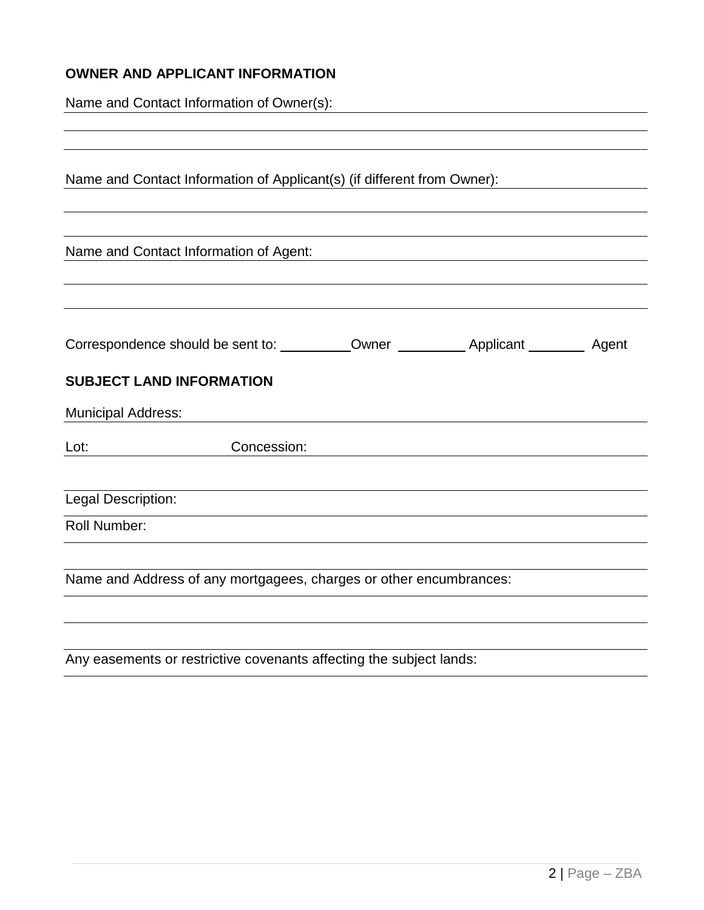## **OWNER AND APPLICANT INFORMATION**

| Name and Contact Information of Owner(s): |
|-------------------------------------------|
|-------------------------------------------|

| Concession: |                                                                                    |                                        |                                                                                                                                               |
|-------------|------------------------------------------------------------------------------------|----------------------------------------|-----------------------------------------------------------------------------------------------------------------------------------------------|
|             |                                                                                    |                                        |                                                                                                                                               |
|             |                                                                                    |                                        |                                                                                                                                               |
|             |                                                                                    |                                        |                                                                                                                                               |
|             |                                                                                    |                                        |                                                                                                                                               |
|             | <b>SUBJECT LAND INFORMATION</b><br><b>Municipal Address:</b><br>Legal Description: | Name and Contact Information of Agent: | Name and Contact Information of Applicant(s) (if different from Owner):<br>Name and Address of any mortgagees, charges or other encumbrances: |

Any easements or restrictive covenants affecting the subject lands: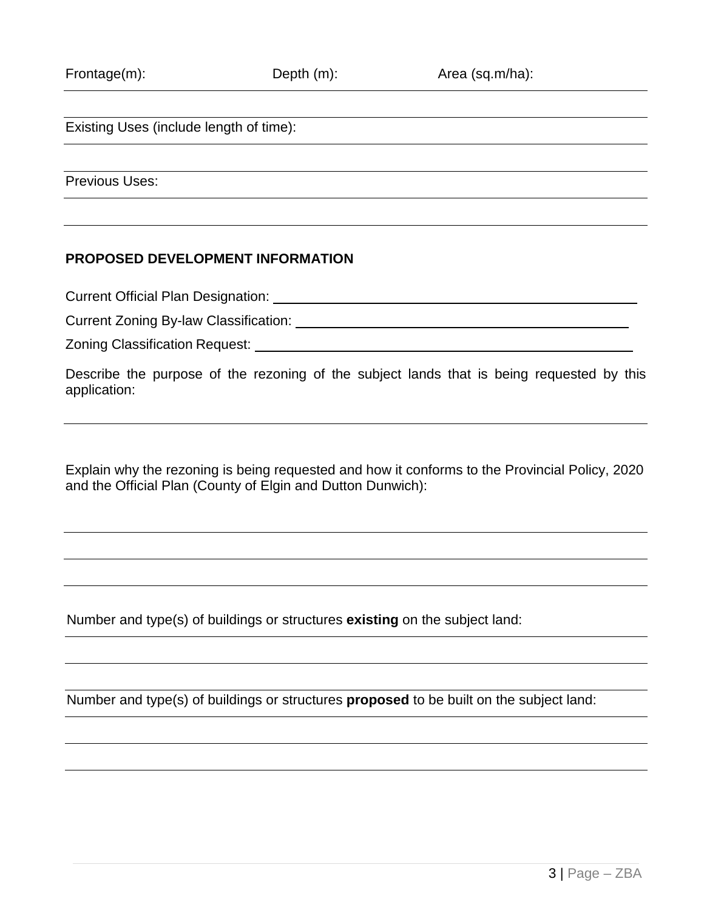Existing Uses (include length of time):

Previous Uses:

#### **PROPOSED DEVELOPMENT INFORMATION**

Current Official Plan Designation:

Current Zoning By-law Classification:

Zoning Classification Request:

Describe the purpose of the rezoning of the subject lands that is being requested by this application:

Explain why the rezoning is being requested and how it conforms to the Provincial Policy, 2020 and the Official Plan (County of Elgin and Dutton Dunwich):

Number and type(s) of buildings or structures **existing** on the subject land:

Number and type(s) of buildings or structures **proposed** to be built on the subject land: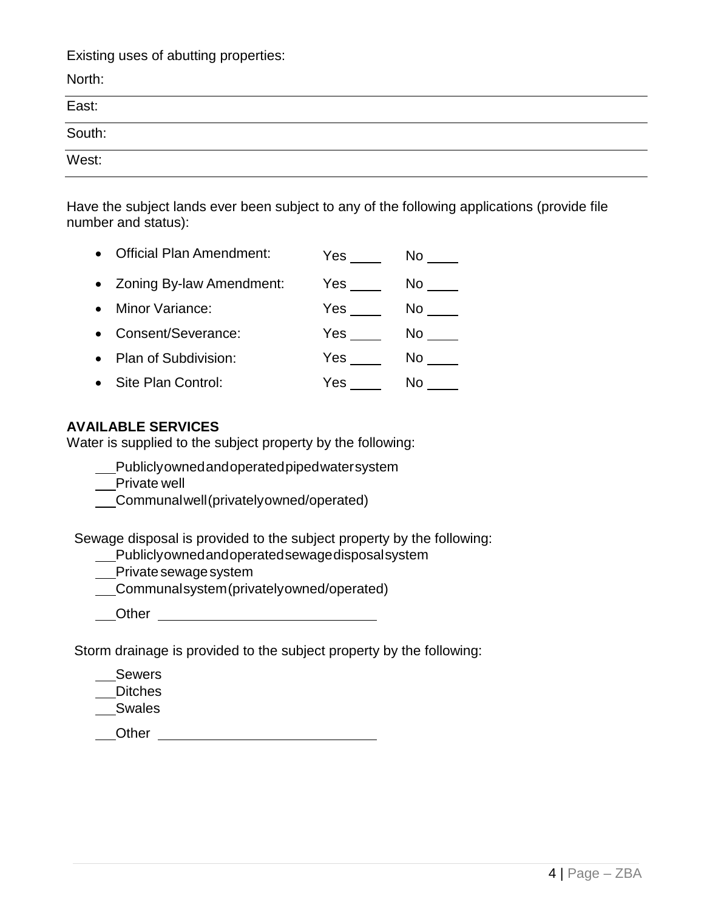Existing uses of abutting properties:

| North:                                                                                                                                                                                                                                                                                                                                                                                                                                                               |  |
|----------------------------------------------------------------------------------------------------------------------------------------------------------------------------------------------------------------------------------------------------------------------------------------------------------------------------------------------------------------------------------------------------------------------------------------------------------------------|--|
| $\label{eq:2.1} \begin{array}{lll} \mathbf{1}_{\mathbf{1}_{\mathbf{1}_{\mathbf{1}_{\mathbf{1}_{\mathbf{1}_{\mathbf{1}_{\mathbf{1}_{\mathbf{1}}}}}}\left( \mathbf{1}_{\mathbf{1}_{\mathbf{1}_{\mathbf{1}}}}\left( \mathbf{1}_{\mathbf{1}_{\mathbf{1}_{\mathbf{1}}}}\left( \mathbf{1}_{\mathbf{1}_{\mathbf{1}_{\mathbf{1}}}}\left( \mathbf{1}_{\mathbf{1}_{\mathbf{1}}}\left( \mathbf{1}_{\mathbf{1}_{\mathbf{1}}}\left( \mathbf{1}_{\mathbf{1}_{\mathbf{1}}$<br>East: |  |
| South:                                                                                                                                                                                                                                                                                                                                                                                                                                                               |  |
| and the contract of the contract of<br>West:                                                                                                                                                                                                                                                                                                                                                                                                                         |  |

Have the subject lands ever been subject to any of the following applications (provide file number and status):

| <b>Official Plan Amendment:</b> | Yes        | No  |
|---------------------------------|------------|-----|
| • Zoning By-law Amendment:      | Yes        | No. |
| Minor Variance:                 | <b>Yes</b> | No. |
| Consent/Severance:              | Yes        | No. |
| Plan of Subdivision:            | Yes        | No. |
| Site Plan Control:              | Yes        | No  |

#### **AVAILABLE SERVICES**

Water is supplied to the subject property by the following:

Publiclyownedandoperatedpipedwatersystem

\_\_Private well

Communalwell(privatelyowned/operated)

Sewage disposal is provided to the subject property by the following:

Publiclyownedandoperatedsewagedisposalsystem

Private sewage system

Communalsystem(privatelyowned/operated)

Other **Communist Communist Communist Communist Communist Communist Communist Communist Communist Communist Communist Communist Communist Communist Communist Communist Communist Communist Communist Communist Communist Commu** 

Storm drainage is provided to the subject property by the following:

Sewers

Ditches

Swales

Other Communication of the Communication of the Communication of the Communication of the Communication of the Communication of the Communication of the Communication of the Communication of the Communication of the Commun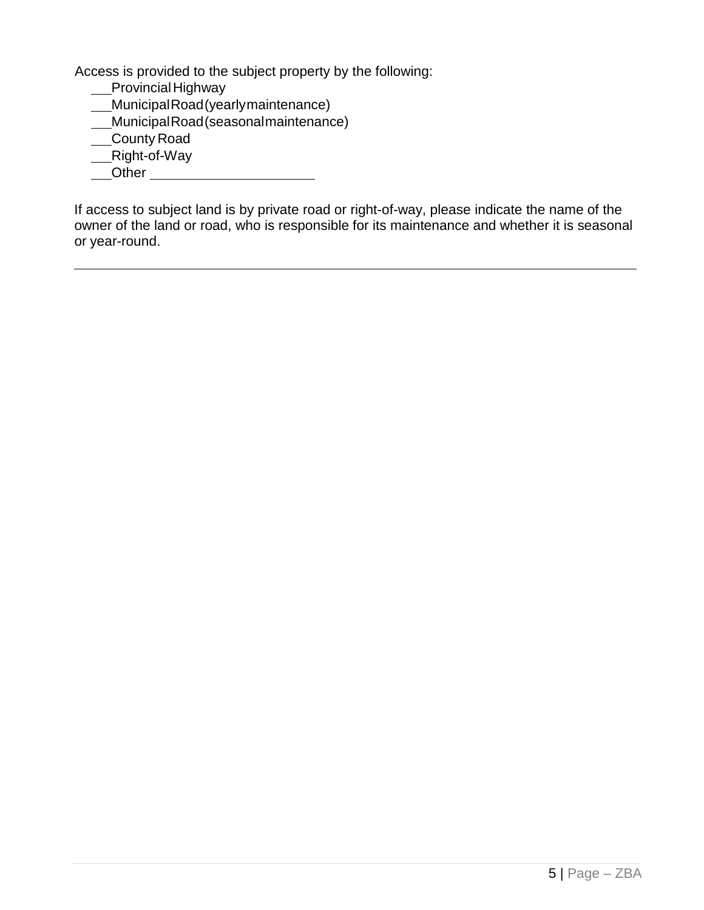Access is provided to the subject property by the following:

- ProvincialHighway
- MunicipalRoad(yearlymaintenance)
- MunicipalRoad(seasonalmaintenance)
- County Road
- \_\_Right-of-Way
- Other

If access to subject land is by private road or right-of-way, please indicate the name of the owner of the land or road, who is responsible for its maintenance and whether it is seasonal or year-round.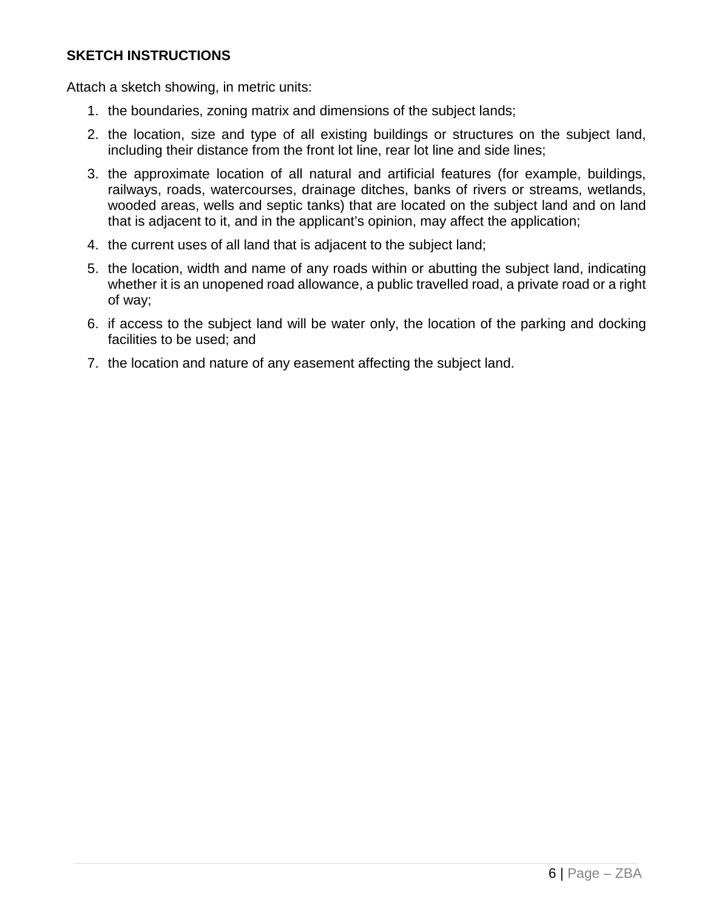#### **SKETCH INSTRUCTIONS**

Attach a sketch showing, in metric units:

- 1. the boundaries, zoning matrix and dimensions of the subject lands;
- 2. the location, size and type of all existing buildings or structures on the subject land, including their distance from the front lot line, rear lot line and side lines;
- 3. the approximate location of all natural and artificial features (for example, buildings, railways, roads, watercourses, drainage ditches, banks of rivers or streams, wetlands, wooded areas, wells and septic tanks) that are located on the subject land and on land that is adjacent to it, and in the applicant's opinion, may affect the application;
- 4. the current uses of all land that is adjacent to the subject land;
- 5. the location, width and name of any roads within or abutting the subject land, indicating whether it is an unopened road allowance, a public travelled road, a private road or a right of way;
- 6. if access to the subject land will be water only, the location of the parking and docking facilities to be used; and
- 7. the location and nature of any easement affecting the subject land.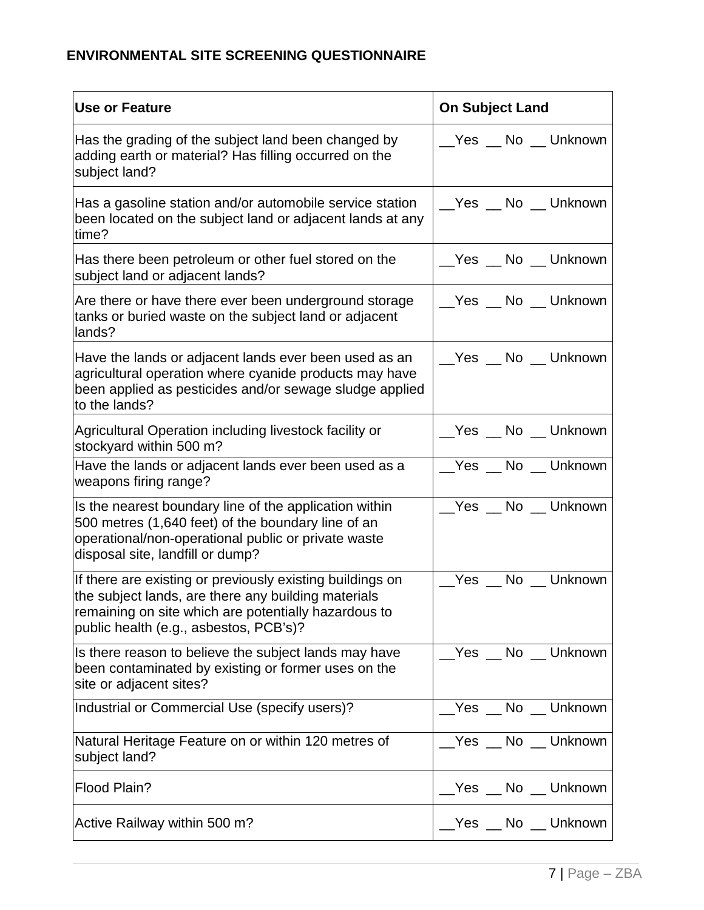# **ENVIRONMENTAL SITE SCREENING QUESTIONNAIRE**

| <b>Use or Feature</b>                                                                                                                                                                                              | <b>On Subject Land</b> |
|--------------------------------------------------------------------------------------------------------------------------------------------------------------------------------------------------------------------|------------------------|
| Has the grading of the subject land been changed by<br>adding earth or material? Has filling occurred on the<br>subject land?                                                                                      | __Yes __ No __ Unknown |
| Has a gasoline station and/or automobile service station<br>been located on the subject land or adjacent lands at any<br>time?                                                                                     | __Yes __ No __ Unknown |
| Has there been petroleum or other fuel stored on the<br>subject land or adjacent lands?                                                                                                                            | __Yes __ No __ Unknown |
| Are there or have there ever been underground storage<br>tanks or buried waste on the subject land or adjacent<br>lands?                                                                                           | __Yes __ No __ Unknown |
| Have the lands or adjacent lands ever been used as an<br>agricultural operation where cyanide products may have<br>been applied as pesticides and/or sewage sludge applied<br>to the lands?                        | __Yes __ No __ Unknown |
| Agricultural Operation including livestock facility or<br>stockyard within 500 m?                                                                                                                                  | __Yes __ No __ Unknown |
| Have the lands or adjacent lands ever been used as a<br>weapons firing range?                                                                                                                                      | __Yes __ No __ Unknown |
| Is the nearest boundary line of the application within<br>500 metres (1,640 feet) of the boundary line of an<br>operational/non-operational public or private waste<br>disposal site, landfill or dump?            | Yes No Unknown         |
| If there are existing or previously existing buildings on<br>the subject lands, are there any building materials<br>remaining on site which are potentially hazardous to<br>public health (e.g., asbestos, PCB's)? | __Yes __ No __ Unknown |
| Is there reason to believe the subject lands may have<br>been contaminated by existing or former uses on the<br>site or adjacent sites?                                                                            | __Yes __ No __ Unknown |
| Industrial or Commercial Use (specify users)?                                                                                                                                                                      | __Yes __ No __ Unknown |
| Natural Heritage Feature on or within 120 metres of<br>subject land?                                                                                                                                               | __Yes __ No __ Unknown |
| Flood Plain?                                                                                                                                                                                                       | Yes No Unknown         |
| Active Railway within 500 m?                                                                                                                                                                                       | __Yes __ No __ Unknown |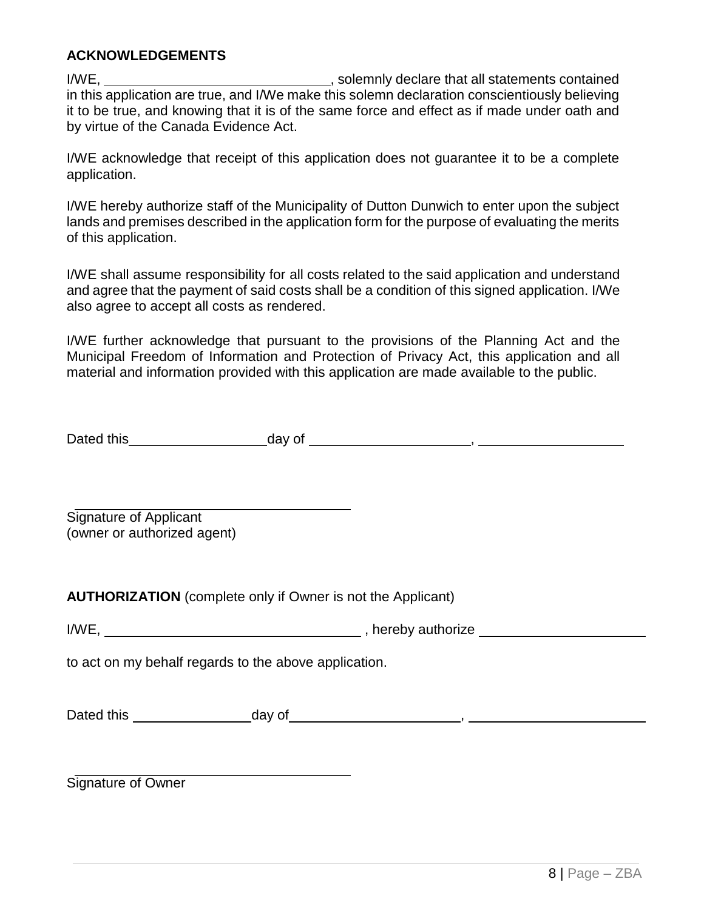#### **ACKNOWLEDGEMENTS**

I/WE, I/WE, in this application are true, and I/We make this solemn declaration conscientiously believing it to be true, and knowing that it is of the same force and effect as if made under oath and by virtue of the Canada Evidence Act.

I/WE acknowledge that receipt of this application does not guarantee it to be a complete application.

I/WE hereby authorize staff of the Municipality of Dutton Dunwich to enter upon the subject lands and premises described in the application form for the purpose of evaluating the merits of this application.

I/WE shall assume responsibility for all costs related to the said application and understand and agree that the payment of said costs shall be a condition of this signed application. I/We also agree to accept all costs as rendered.

I/WE further acknowledge that pursuant to the provisions of the Planning Act and the Municipal Freedom of Information and Protection of Privacy Act, this application and all material and information provided with this application are made available to the public.

| Dated this | day of |  |
|------------|--------|--|
|            |        |  |

Signature of Applicant (owner or authorized agent)

**AUTHORIZATION** (complete only if Owner is not the Applicant)

to act on my behalf regards to the above application.

| Dated this | day of |  |
|------------|--------|--|
|            |        |  |

Signature of Owner